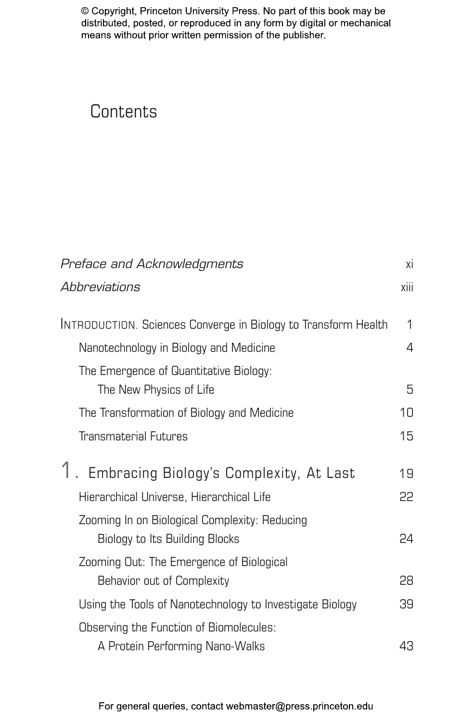# **Contents**

| xi   |
|------|
| xiii |
| 1    |
| 4    |
| 5    |
| 10   |
| 15   |
| 19   |
| 22   |
| 24   |
| 28   |
| 39   |
| 43   |
|      |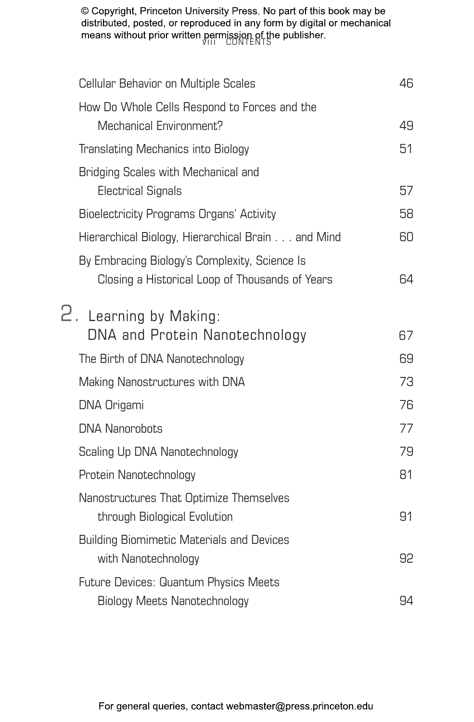| Cellular Behavior on Multiple Scales                                                             | 46 |
|--------------------------------------------------------------------------------------------------|----|
| How Do Whole Cells Respond to Forces and the<br>Mechanical Environment?                          | 49 |
| Translating Mechanics into Biology                                                               | 51 |
| Bridging Scales with Mechanical and<br><b>Electrical Signals</b>                                 | 57 |
| Bioelectricity Programs Organs' Activity                                                         | 58 |
| Hierarchical Biology, Hierarchical Brain and Mind                                                | 60 |
| By Embracing Biology's Complexity, Science Is<br>Closing a Historical Loop of Thousands of Years | 64 |
| 2. Learning by Making:<br>DNA and Protein Nanotechnology                                         | 67 |
| The Birth of DNA Nanotechnology                                                                  | 69 |
| Making Nanostructures with DNA                                                                   | 73 |
| DNA Origami                                                                                      | 76 |
| <b>DNA Nanorobots</b>                                                                            | 77 |
| Scaling Up DNA Nanotechnology                                                                    | 79 |
| Protein Nanotechnology                                                                           | 81 |
| Nanostructures That Optimize Themselves<br>through Biological Evolution                          | 91 |
| <b>Building Biomimetic Materials and Devices</b><br>with Nanotechnology                          | 92 |
| Future Devices: Quantum Physics Meets<br><b>Biology Meets Nanotechnology</b>                     | 94 |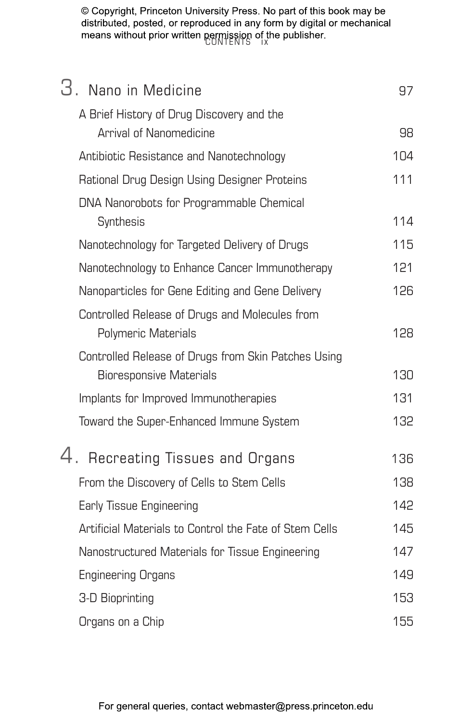| 3. Nano in Medicine                                    | 97              |
|--------------------------------------------------------|-----------------|
| A Brief History of Drug Discovery and the              |                 |
| Arrival of Nanomedicine                                | 98              |
| Antibiotic Resistance and Nanotechnology               | 1 <sub>04</sub> |
| Rational Drug Design Using Designer Proteins           | 111             |
| DNA Nanorobots for Programmable Chemical               |                 |
| Synthesis                                              | 114             |
| Nanotechnology for Targeted Delivery of Drugs          | 115             |
| Nanotechnology to Enhance Cancer Immunotherapy         | 121             |
| Nanoparticles for Gene Editing and Gene Delivery       | 126             |
| Controlled Release of Drugs and Molecules from         |                 |
| Polymeric Materials                                    | 128             |
| Controlled Release of Drugs from Skin Patches Using    |                 |
| <b>Bioresponsive Materials</b>                         | 130             |
| Implants for Improved Immunotherapies                  | 131             |
| Toward the Super-Enhanced Immune System                | 132             |
| $4.$ Recreating Tissues and Organs                     | 136             |
| From the Discovery of Cells to Stem Cells              | 138             |
| Early Tissue Engineering                               | 142             |
| Artificial Materials to Control the Fate of Stem Cells | 145             |
| Nanostructured Materials for Tissue Engineering        | 147             |
| <b>Engineering Organs</b>                              | 149             |
| 3-D Bioprinting                                        | 153             |
| Organs on a Chip                                       | 155             |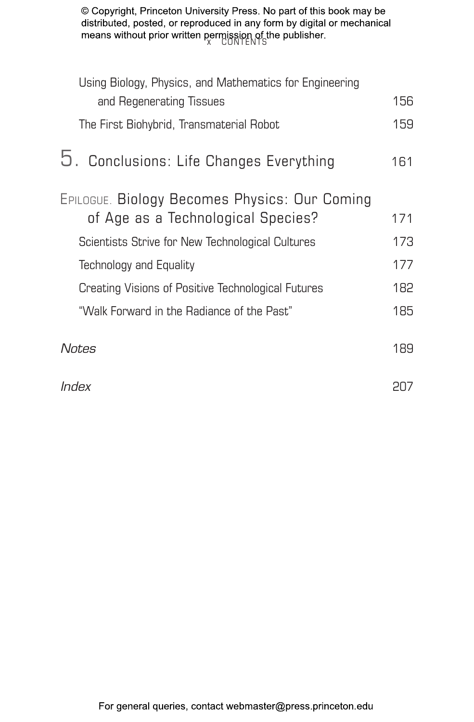| © Copyright, Princeton University Press, No part of this book may be          |
|-------------------------------------------------------------------------------|
| distributed, posted, or reproduced in any form by digital or mechanical       |
| means without prior written permission of the publisher.<br>$\chi^2$ CONTENTS |
|                                                                               |

| Using Biology, Physics, and Mathematics for Engineering<br>and Regenerating Tissues | 156 |
|-------------------------------------------------------------------------------------|-----|
| The First Biohybrid, Transmaterial Robot                                            | 159 |
| b. Conclusions: Life Changes Everything                                             | 161 |
| EPILOGUE. Biology Becomes Physics: Our Coming                                       |     |
| of Age as a Technological Species?                                                  | 171 |
| Scientists Strive for New Technological Cultures                                    | 173 |
| Technology and Equality                                                             | 177 |
| Creating Visions of Positive Technological Futures                                  | 182 |
| "Walk Forward in the Radiance of the Past"                                          | 185 |
| Notes                                                                               | 189 |

*Index* 207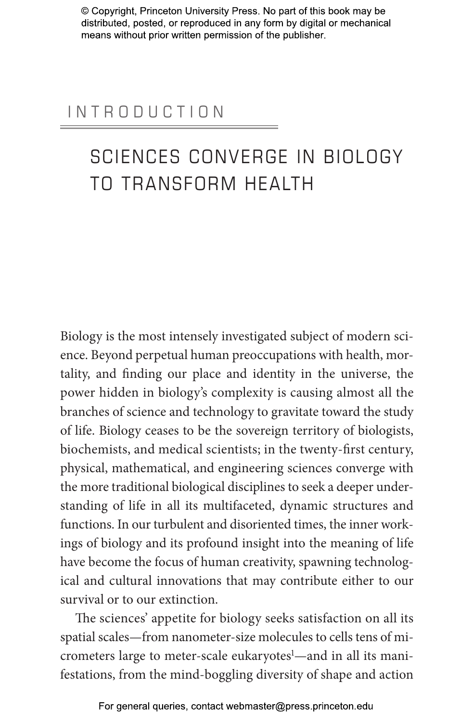## INTRODUCTION

# SCIENCES CONVERGE IN BIOLOGY TO TRANSFORM HEALTH

Biology is the most intensely investigated subject of modern science. Beyond perpetual human preoccupations with health, mortality, and finding our place and identity in the universe, the power hidden in biology's complexity is causing almost all the branches of science and technology to gravitate toward the study of life. Biology ceases to be the sovereign territory of biologists, biochemists, and medical scientists; in the twenty-first century, physical, mathematical, and engineering sciences converge with the more traditional biological disciplines to seek a deeper understanding of life in all its multifaceted, dynamic structures and functions. In our turbulent and disoriented times, the inner workings of biology and its profound insight into the meaning of life have become the focus of human creativity, spawning technological and cultural innovations that may contribute either to our survival or to our extinction.

The sciences' appetite for biology seeks satisfaction on all its spatial scales—from nanometer-size molecules to cells tens of micrometers large to meter-scale eukaryotes<sup>1</sup>—and in all its manifestations, from the mind-boggling diversity of shape and action

For general queries, contact webmaster@press.princeton.edu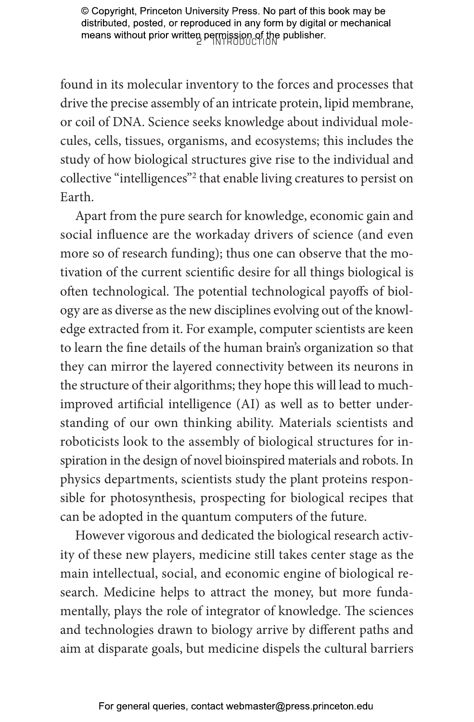found in its molecular inventory to the forces and processes that drive the precise assembly of an intricate protein, lipid membrane, or coil of DNA. Science seeks knowledge about individual molecules, cells, tissues, organisms, and ecosystems; this includes the study of how biological structures give rise to the individual and collective "intelligences"<sup>2</sup> that enable living creatures to persist on Earth.

Apart from the pure search for knowledge, economic gain and social influence are the workaday drivers of science (and even more so of research funding); thus one can observe that the motivation of the current scientific desire for all things biological is often technological. The potential technological payoffs of biology are as diverse as the new disciplines evolving out of the knowledge extracted from it. For example, computer scientists are keen to learn the fine details of the human brain's organization so that they can mirror the layered connectivity between its neurons in the structure of their algorithms; they hope this will lead to muchimproved artificial intelligence (AI) as well as to better understanding of our own thinking ability. Materials scientists and roboticists look to the assembly of biological structures for inspiration in the design of novel bioinspired materials and robots. In physics departments, scientists study the plant proteins responsible for photosynthesis, prospecting for biological recipes that can be adopted in the quantum computers of the future.

However vigorous and dedicated the biological research activity of these new players, medicine still takes center stage as the main intellectual, social, and economic engine of biological research. Medicine helps to attract the money, but more fundamentally, plays the role of integrator of knowledge. The sciences and technologies drawn to biology arrive by different paths and aim at disparate goals, but medicine dispels the cultural barriers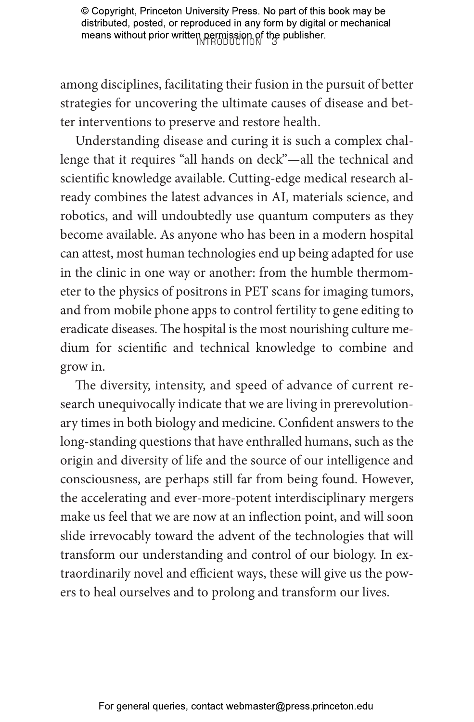among disciplines, facilitating their fusion in the pursuit of better strategies for uncovering the ultimate causes of disease and better interventions to preserve and restore health.

Understanding disease and curing it is such a complex challenge that it requires "all hands on deck"—all the technical and scientific knowledge available. Cutting-edge medical research already combines the latest advances in AI, materials science, and robotics, and will undoubtedly use quantum computers as they become available. As anyone who has been in a modern hospital can attest, most human technologies end up being adapted for use in the clinic in one way or another: from the humble thermometer to the physics of positrons in PET scans for imaging tumors, and from mobile phone apps to control fertility to gene editing to eradicate diseases. The hospital is the most nourishing culture medium for scientific and technical knowledge to combine and grow in.

The diversity, intensity, and speed of advance of current research unequivocally indicate that we are living in prerevolutionary times in both biology and medicine. Confident answers to the long-standing questions that have enthralled humans, such as the origin and diversity of life and the source of our intelligence and consciousness, are perhaps still far from being found. However, the accelerating and ever-more-potent interdisciplinary mergers make us feel that we are now at an inflection point, and will soon slide irrevocably toward the advent of the technologies that will transform our understanding and control of our biology. In extraordinarily novel and efficient ways, these will give us the powers to heal ourselves and to prolong and transform our lives.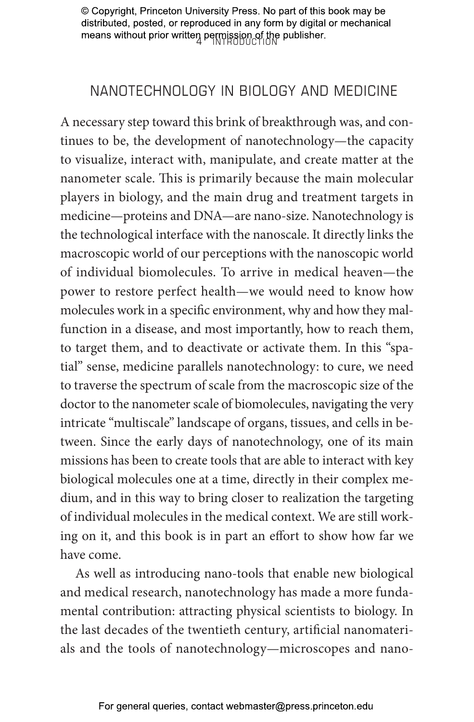#### NANOTECHNOLOGY IN BIOLOGY AND MEDICINE

A necessary step toward this brink of breakthrough was, and continues to be, the development of nanotechnology—the capacity to visualize, interact with, manipulate, and create matter at the nanometer scale. This is primarily because the main molecular players in biology, and the main drug and treatment targets in medicine—proteins and DNA—are nano-size. Nanotechnology is the technological interface with the nanoscale. It directly links the macroscopic world of our perceptions with the nanoscopic world of individual biomolecules. To arrive in medical heaven—the power to restore perfect health—we would need to know how molecules work in a specific environment, why and how they malfunction in a disease, and most importantly, how to reach them, to target them, and to deactivate or activate them. In this "spatial" sense, medicine parallels nanotechnology: to cure, we need to traverse the spectrum of scale from the macroscopic size of the doctor to the nanometer scale of biomolecules, navigating the very intricate "multiscale" landscape of organs, tissues, and cells in between. Since the early days of nanotechnology, one of its main missions has been to create tools that are able to interact with key biological molecules one at a time, directly in their complex medium, and in this way to bring closer to realization the targeting of individual molecules in the medical context. We are still working on it, and this book is in part an effort to show how far we have come.

As well as introducing nano-tools that enable new biological and medical research, nanotechnology has made a more fundamental contribution: attracting physical scientists to biology. In the last decades of the twentieth century, artificial nanomaterials and the tools of nanotechnology—microscopes and nano-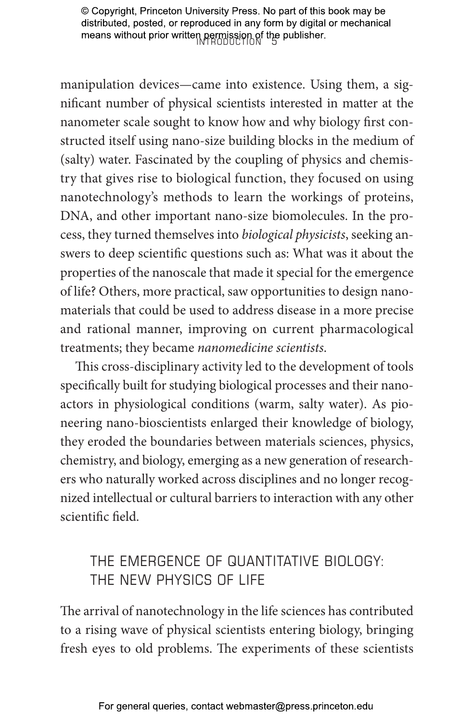manipulation devices—came into existence. Using them, a significant number of physical scientists interested in matter at the nanometer scale sought to know how and why biology first constructed itself using nano-size building blocks in the medium of (salty) water. Fascinated by the coupling of physics and chemistry that gives rise to biological function, they focused on using nanotechnology's methods to learn the workings of proteins, DNA, and other important nano-size biomolecules. In the process, they turned themselves into *biological physicists*, seeking answers to deep scientific questions such as: What was it about the properties of the nanoscale that made it special for the emergence of life? Others, more practical, saw opportunities to design nanomaterials that could be used to address disease in a more precise and rational manner, improving on current pharmacological treatments; they became *nanomedicine scientists*.

This cross-disciplinary activity led to the development of tools specifically built for studying biological processes and their nanoactors in physiological conditions (warm, salty water). As pioneering nano-bioscientists enlarged their knowledge of biology, they eroded the boundaries between materials sciences, physics, chemistry, and biology, emerging as a new generation of researchers who naturally worked across disciplines and no longer recognized intellectual or cultural barriers to interaction with any other scientific field.

## THE EMERGENCE OF QUANTITATIVE BIOLOGY. THE NEW PHYSICS OF LIFE

The arrival of nanotechnology in the life sciences has contributed to a rising wave of physical scientists entering biology, bringing fresh eyes to old problems. The experiments of these scientists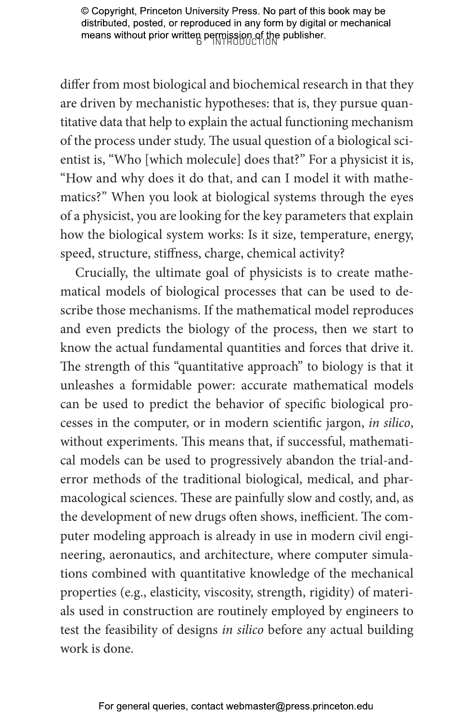differ from most biological and biochemical research in that they are driven by mechanistic hypotheses: that is, they pursue quantitative data that help to explain the actual functioning mechanism of the process under study. The usual question of a biological scientist is, "Who [which molecule] does that?" For a physicist it is, "How and why does it do that, and can I model it with mathematics?" When you look at biological systems through the eyes of a physicist, you are looking for the key parameters that explain how the biological system works: Is it size, temperature, energy, speed, structure, stiffness, charge, chemical activity?

Crucially, the ultimate goal of physicists is to create mathematical models of biological processes that can be used to describe those mechanisms. If the mathematical model reproduces and even predicts the biology of the process, then we start to know the actual fundamental quantities and forces that drive it. The strength of this "quantitative approach" to biology is that it unleashes a formidable power: accurate mathematical models can be used to predict the behavior of specific biological processes in the computer, or in modern scientific jargon, *in silico*, without experiments. This means that, if successful, mathematical models can be used to progressively abandon the trial-anderror methods of the traditional biological, medical, and pharmacological sciences. These are painfully slow and costly, and, as the development of new drugs often shows, inefficient. The computer modeling approach is already in use in modern civil engineering, aeronautics, and architecture, where computer simulations combined with quantitative knowledge of the mechanical properties (e.g., elasticity, viscosity, strength, rigidity) of materials used in construction are routinely employed by engineers to test the feasibility of designs *in silico* before any actual building work is done.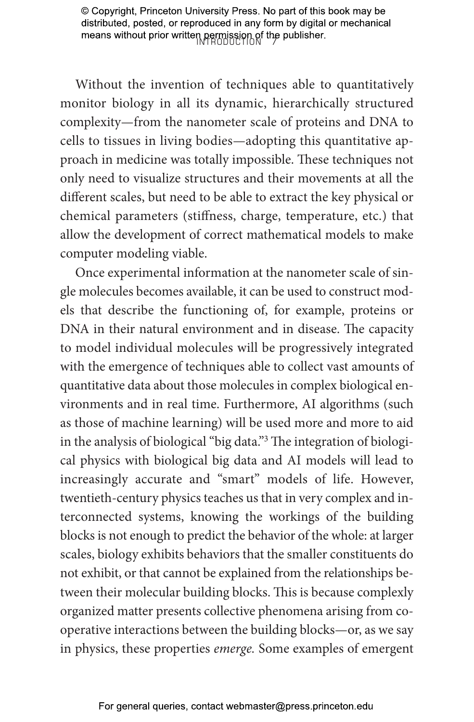Without the invention of techniques able to quantitatively monitor biology in all its dynamic, hierarchically structured complexity—from the nanometer scale of proteins and DNA to cells to tissues in living bodies—adopting this quantitative approach in medicine was totally impossible. These techniques not only need to visualize structures and their movements at all the different scales, but need to be able to extract the key physical or chemical parameters (stiffness, charge, temperature, etc.) that allow the development of correct mathematical models to make computer modeling viable.

Once experimental information at the nanometer scale of single molecules becomes available, it can be used to construct models that describe the functioning of, for example, proteins or DNA in their natural environment and in disease. The capacity to model individual molecules will be progressively integrated with the emergence of techniques able to collect vast amounts of quantitative data about those molecules in complex biological environments and in real time. Furthermore, AI algorithms (such as those of machine learning) will be used more and more to aid in the analysis of biological "big data."<sup>3</sup> The integration of biological physics with biological big data and AI models will lead to increasingly accurate and "smart" models of life. However, twentieth-century physics teaches us that in very complex and interconnected systems, knowing the workings of the building blocks is not enough to predict the behavior of the whole: at larger scales, biology exhibits behaviors that the smaller constituents do not exhibit, or that cannot be explained from the relationships between their molecular building blocks. This is because complexly organized matter presents collective phenomena arising from cooperative interactions between the building blocks—or, as we say in physics, these properties *emerge.* Some examples of emergent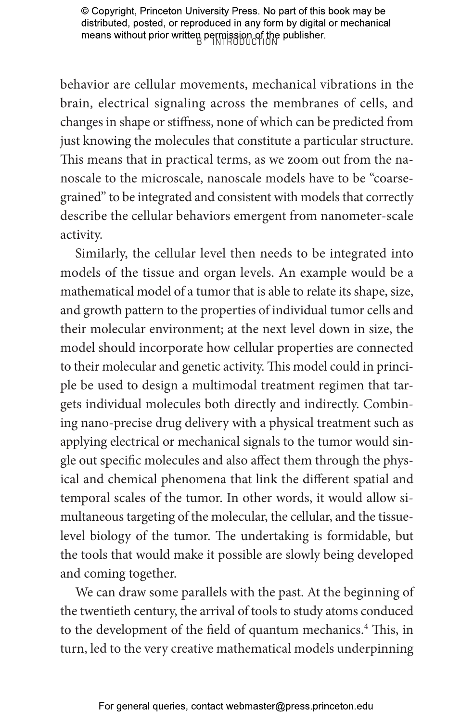behavior are cellular movements, mechanical vibrations in the brain, electrical signaling across the membranes of cells, and changes in shape or stiffness, none of which can be predicted from just knowing the molecules that constitute a particular structure. This means that in practical terms, as we zoom out from the nanoscale to the microscale, nanoscale models have to be "coarsegrained" to be integrated and consistent with models that correctly describe the cellular behaviors emergent from nanometer-scale activity.

Similarly, the cellular level then needs to be integrated into models of the tissue and organ levels. An example would be a mathematical model of a tumor that is able to relate its shape, size, and growth pattern to the properties of individual tumor cells and their molecular environment; at the next level down in size, the model should incorporate how cellular properties are connected to their molecular and genetic activity. This model could in principle be used to design a multimodal treatment regimen that targets individual molecules both directly and indirectly. Combining nano-precise drug delivery with a physical treatment such as applying electrical or mechanical signals to the tumor would single out specific molecules and also affect them through the physical and chemical phenomena that link the different spatial and temporal scales of the tumor. In other words, it would allow simultaneous targeting of the molecular, the cellular, and the tissuelevel biology of the tumor. The undertaking is formidable, but the tools that would make it possible are slowly being developed and coming together.

We can draw some parallels with the past. At the beginning of the twentieth century, the arrival of tools to study atoms conduced to the development of the field of quantum mechanics.<sup>4</sup> This, in turn, led to the very creative mathematical models underpinning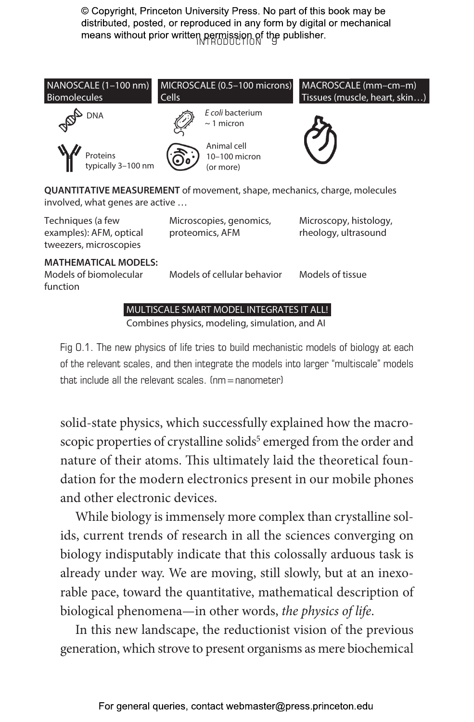

**QUANTITATIVE MEASUREMENT** of movement, shape, mechanics, charge, molecules involved, what genes are active …

Techniques (a few examples): AFM, optical tweezers, microscopies

Microscopies, genomics, proteomics, AFM

Microscopy, histology, rheology, ultrasound

**MATHEMATICAL MODELS:**

Models of biomolecular function

Models of cellular behavior Models of tissue

#### MULTISCALE SMART MODEL INTEGRATES IT ALL!

Combines physics, modeling, simulation, and AI

Fig 0.1. The new physics of life tries to build mechanistic models of biology at each of the relevant scales, and then integrate the models into larger "multiscale" models that include all the relevant scales.  $(nm =$  nanometer)

solid-state physics, which successfully explained how the macroscopic properties of crystalline solids<sup>5</sup> emerged from the order and nature of their atoms. This ultimately laid the theoretical foundation for the modern electronics present in our mobile phones and other electronic devices.

While biology is immensely more complex than crystalline solids, current trends of research in all the sciences converging on biology indisputably indicate that this colossally arduous task is already under way. We are moving, still slowly, but at an inexorable pace, toward the quantitative, mathematical description of biological phenomena—in other words, *the physics of life*.

In this new landscape, the reductionist vision of the previous generation, which strove to present organisms as mere biochemical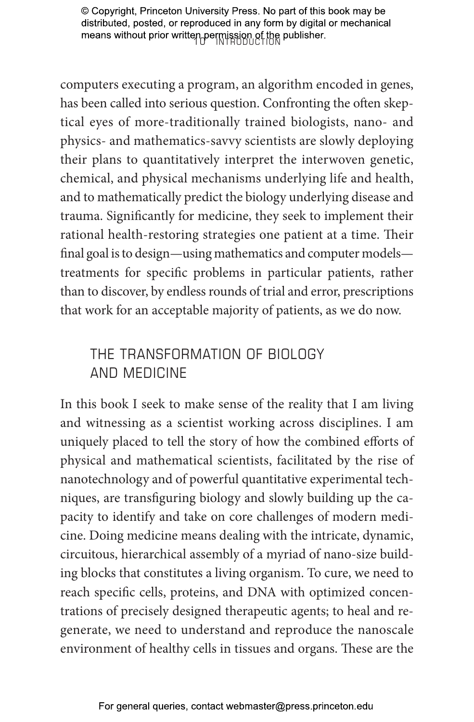computers executing a program, an algorithm encoded in genes, has been called into serious question. Confronting the often skeptical eyes of more-traditionally trained biologists, nano- and physics- and mathematics-savvy scientists are slowly deploying their plans to quantitatively interpret the interwoven genetic, chemical, and physical mechanisms underlying life and health, and to mathematically predict the biology underlying disease and trauma. Significantly for medicine, they seek to implement their rational health-restoring strategies one patient at a time. Their final goal is to design—using mathematics and computer models treatments for specific problems in particular patients, rather than to discover, by endless rounds of trial and error, prescriptions that work for an acceptable majority of patients, as we do now.

## THE TRANSFORMATION OF BIOLOGY AND MEDICINE

In this book I seek to make sense of the reality that I am living and witnessing as a scientist working across disciplines. I am uniquely placed to tell the story of how the combined efforts of physical and mathematical scientists, facilitated by the rise of nanotechnology and of powerful quantitative experimental techniques, are transfiguring biology and slowly building up the capacity to identify and take on core challenges of modern medicine. Doing medicine means dealing with the intricate, dynamic, circuitous, hierarchical assembly of a myriad of nano-size building blocks that constitutes a living organism. To cure, we need to reach specific cells, proteins, and DNA with optimized concentrations of precisely designed therapeutic agents; to heal and regenerate, we need to understand and reproduce the nanoscale environment of healthy cells in tissues and organs. These are the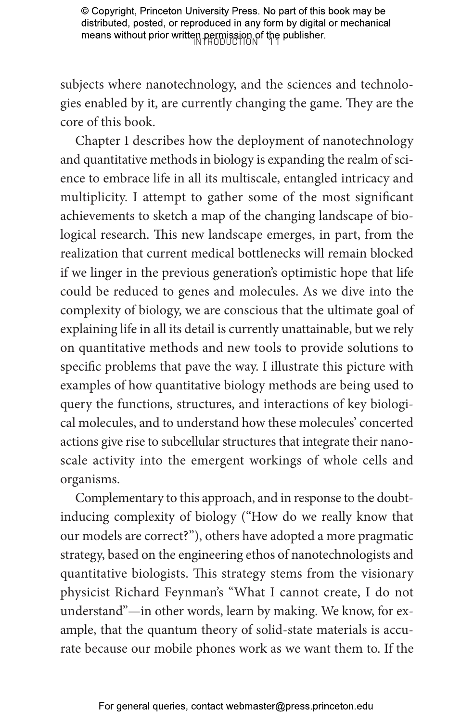subjects where nanotechnology, and the sciences and technologies enabled by it, are currently changing the game. They are the core of this book.

Chapter 1 describes how the deployment of nanotechnology and quantitative methods in biology is expanding the realm of science to embrace life in all its multiscale, entangled intricacy and multiplicity. I attempt to gather some of the most significant achievements to sketch a map of the changing landscape of biological research. This new landscape emerges, in part, from the realization that current medical bottlenecks will remain blocked if we linger in the previous generation's optimistic hope that life could be reduced to genes and molecules. As we dive into the complexity of biology, we are conscious that the ultimate goal of explaining life in all its detail is currently unattainable, but we rely on quantitative methods and new tools to provide solutions to specific problems that pave the way. I illustrate this picture with examples of how quantitative biology methods are being used to query the functions, structures, and interactions of key biological molecules, and to understand how these molecules' concerted actions give rise to subcellular structures that integrate their nanoscale activity into the emergent workings of whole cells and organisms.

Complementary to this approach, and in response to the doubtinducing complexity of biology ("How do we really know that our models are correct?"), others have adopted a more pragmatic strategy, based on the engineering ethos of nanotechnologists and quantitative biologists. This strategy stems from the visionary physicist Richard Feynman's "What I cannot create, I do not understand"—in other words, learn by making. We know, for example, that the quantum theory of solid-state materials is accurate because our mobile phones work as we want them to. If the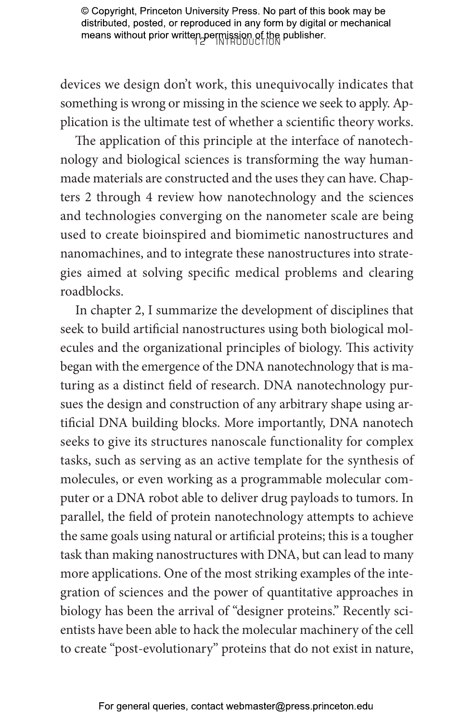devices we design don't work, this unequivocally indicates that something is wrong or missing in the science we seek to apply. Application is the ultimate test of whether a scientific theory works.

The application of this principle at the interface of nanotechnology and biological sciences is transforming the way humanmade materials are constructed and the uses they can have. Chapters 2 through 4 review how nanotechnology and the sciences and technologies converging on the nanometer scale are being used to create bioinspired and biomimetic nanostructures and nanomachines, and to integrate these nanostructures into strategies aimed at solving specific medical problems and clearing roadblocks.

In chapter 2, I summarize the development of disciplines that seek to build artificial nanostructures using both biological molecules and the organizational principles of biology. This activity began with the emergence of the DNA nanotechnology that is maturing as a distinct field of research. DNA nanotechnology pursues the design and construction of any arbitrary shape using artificial DNA building blocks. More importantly, DNA nanotech seeks to give its structures nanoscale functionality for complex tasks, such as serving as an active template for the synthesis of molecules, or even working as a programmable molecular computer or a DNA robot able to deliver drug payloads to tumors. In parallel, the field of protein nanotechnology attempts to achieve the same goals using natural or artificial proteins; this is a tougher task than making nanostructures with DNA, but can lead to many more applications. One of the most striking examples of the integration of sciences and the power of quantitative approaches in biology has been the arrival of "designer proteins." Recently scientists have been able to hack the molecular machinery of the cell to create "post-evolutionary" proteins that do not exist in nature,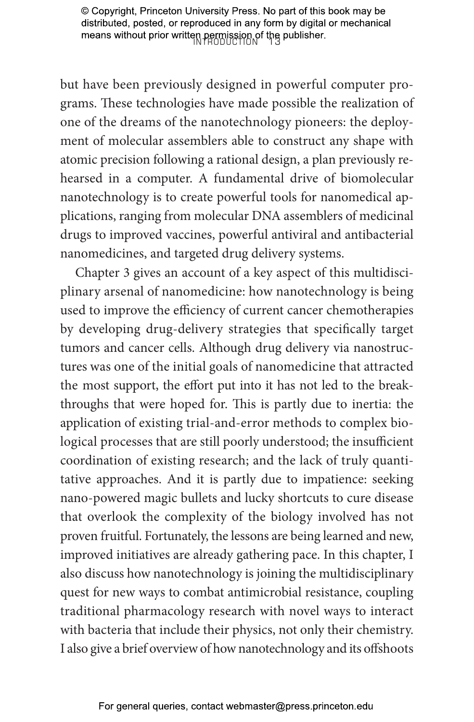but have been previously designed in powerful computer programs. These technologies have made possible the realization of one of the dreams of the nanotechnology pioneers: the deployment of molecular assemblers able to construct any shape with atomic precision following a rational design, a plan previously rehearsed in a computer. A fundamental drive of biomolecular nanotechnology is to create powerful tools for nanomedical applications, ranging from molecular DNA assemblers of medicinal drugs to improved vaccines, powerful antiviral and antibacterial nanomedicines, and targeted drug delivery systems.

Chapter 3 gives an account of a key aspect of this multidisciplinary arsenal of nanomedicine: how nanotechnology is being used to improve the efficiency of current cancer chemotherapies by developing drug-delivery strategies that specifically target tumors and cancer cells. Although drug delivery via nanostructures was one of the initial goals of nanomedicine that attracted the most support, the effort put into it has not led to the breakthroughs that were hoped for. This is partly due to inertia: the application of existing trial-and-error methods to complex biological processes that are still poorly understood; the insufficient coordination of existing research; and the lack of truly quantitative approaches. And it is partly due to impatience: seeking nano-powered magic bullets and lucky shortcuts to cure disease that overlook the complexity of the biology involved has not proven fruitful. Fortunately, the lessons are being learned and new, improved initiatives are already gathering pace. In this chapter, I also discuss how nanotechnology is joining the multidisciplinary quest for new ways to combat antimicrobial resistance, coupling traditional pharmacology research with novel ways to interact with bacteria that include their physics, not only their chemistry. I also give a brief overview of how nanotechnology and its offshoots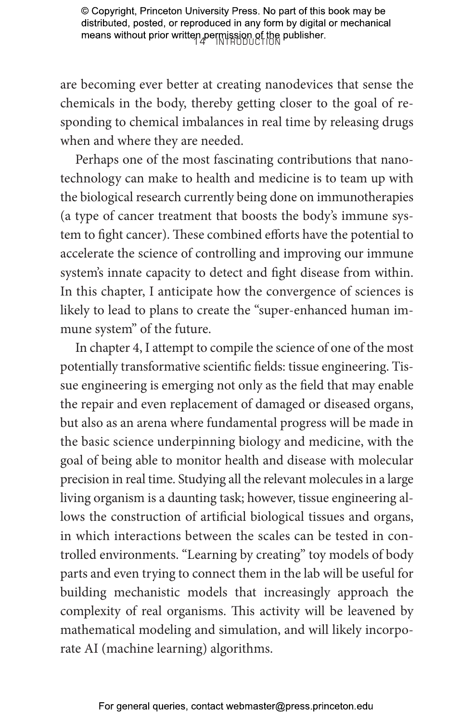are becoming ever better at creating nanodevices that sense the chemicals in the body, thereby getting closer to the goal of responding to chemical imbalances in real time by releasing drugs when and where they are needed.

Perhaps one of the most fascinating contributions that nanotechnology can make to health and medicine is to team up with the biological research currently being done on immunotherapies (a type of cancer treatment that boosts the body's immune system to fight cancer). These combined efforts have the potential to accelerate the science of controlling and improving our immune system's innate capacity to detect and fight disease from within. In this chapter, I anticipate how the convergence of sciences is likely to lead to plans to create the "super-enhanced human immune system" of the future.

In chapter 4, I attempt to compile the science of one of the most potentially transformative scientific fields: tissue engineering. Tissue engineering is emerging not only as the field that may enable the repair and even replacement of damaged or diseased organs, but also as an arena where fundamental progress will be made in the basic science underpinning biology and medicine, with the goal of being able to monitor health and disease with molecular precision in real time. Studying all the relevant molecules in a large living organism is a daunting task; however, tissue engineering allows the construction of artificial biological tissues and organs, in which interactions between the scales can be tested in controlled environments. "Learning by creating" toy models of body parts and even trying to connect them in the lab will be useful for building mechanistic models that increasingly approach the complexity of real organisms. This activity will be leavened by mathematical modeling and simulation, and will likely incorporate AI (machine learning) algorithms.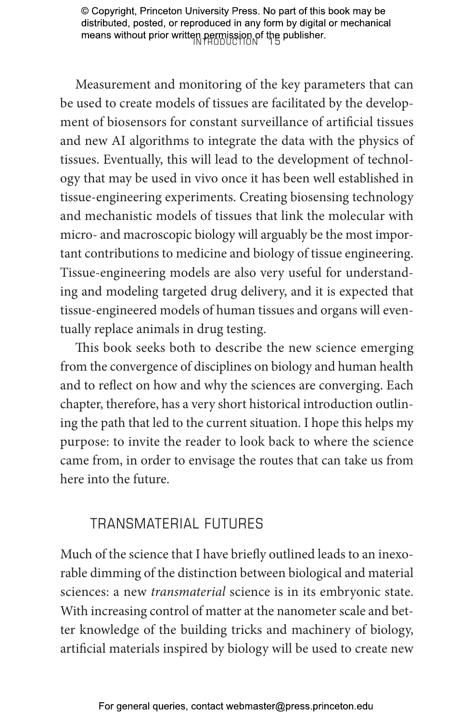Measurement and monitoring of the key parameters that can be used to create models of tissues are facilitated by the development of biosensors for constant surveillance of artificial tissues and new AI algorithms to integrate the data with the physics of tissues. Eventually, this will lead to the development of technology that may be used in vivo once it has been well established in tissue-engineering experiments. Creating biosensing technology and mechanistic models of tissues that link the molecular with micro- and macroscopic biology will arguably be the most important contributions to medicine and biology of tissue engineering. Tissue-engineering models are also very useful for understanding and modeling targeted drug delivery, and it is expected that tissue-engineered models of human tissues and organs will eventually replace animals in drug testing.

This book seeks both to describe the new science emerging from the convergence of disciplines on biology and human health and to reflect on how and why the sciences are converging. Each chapter, therefore, has a very short historical introduction outlining the path that led to the current situation. I hope this helps my purpose: to invite the reader to look back to where the science came from, in order to envisage the routes that can take us from here into the future.

#### TRANSMATERIAL FUTURES

Much of the science that I have briefly outlined leads to an inexorable dimming of the distinction between biological and material sciences: a new *transmaterial* science is in its embryonic state. With increasing control of matter at the nanometer scale and better knowledge of the building tricks and machinery of biology, artificial materials inspired by biology will be used to create new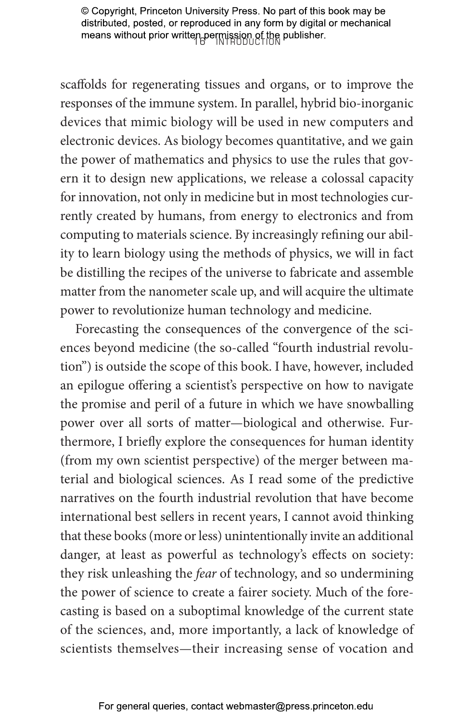scaffolds for regenerating tissues and organs, or to improve the responses of the immune system. In parallel, hybrid bio-inorganic devices that mimic biology will be used in new computers and electronic devices. As biology becomes quantitative, and we gain the power of mathematics and physics to use the rules that govern it to design new applications, we release a colossal capacity for innovation, not only in medicine but in most technologies currently created by humans, from energy to electronics and from computing to materials science. By increasingly refining our ability to learn biology using the methods of physics, we will in fact be distilling the recipes of the universe to fabricate and assemble matter from the nanometer scale up, and will acquire the ultimate power to revolutionize human technology and medicine.

Forecasting the consequences of the convergence of the sciences beyond medicine (the so-called "fourth industrial revolution") is outside the scope of this book. I have, however, included an epilogue offering a scientist's perspective on how to navigate the promise and peril of a future in which we have snowballing power over all sorts of matter—biological and otherwise. Furthermore, I briefly explore the consequences for human identity (from my own scientist perspective) of the merger between material and biological sciences. As I read some of the predictive narratives on the fourth industrial revolution that have become international best sellers in recent years, I cannot avoid thinking that these books (more or less) unintentionally invite an additional danger, at least as powerful as technology's effects on society: they risk unleashing the *fear* of technology, and so undermining the power of science to create a fairer society. Much of the forecasting is based on a suboptimal knowledge of the current state of the sciences, and, more importantly, a lack of knowledge of scientists themselves—their increasing sense of vocation and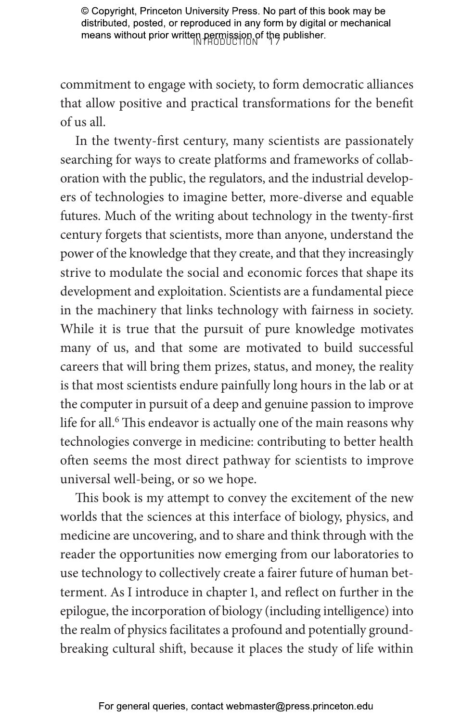commitment to engage with society, to form democratic alliances that allow positive and practical transformations for the benefit of us all.

In the twenty-first century, many scientists are passionately searching for ways to create platforms and frameworks of collaboration with the public, the regulators, and the industrial developers of technologies to imagine better, more-diverse and equable futures. Much of the writing about technology in the twenty-first century forgets that scientists, more than anyone, understand the power of the knowledge that they create, and that they increasingly strive to modulate the social and economic forces that shape its development and exploitation. Scientists are a fundamental piece in the machinery that links technology with fairness in society. While it is true that the pursuit of pure knowledge motivates many of us, and that some are motivated to build successful careers that will bring them prizes, status, and money, the reality is that most scientists endure painfully long hours in the lab or at the computer in pursuit of a deep and genuine passion to improve life for all.<sup>6</sup> This endeavor is actually one of the main reasons why technologies converge in medicine: contributing to better health often seems the most direct pathway for scientists to improve universal well-being, or so we hope.

This book is my attempt to convey the excitement of the new worlds that the sciences at this interface of biology, physics, and medicine are uncovering, and to share and think through with the reader the opportunities now emerging from our laboratories to use technology to collectively create a fairer future of human betterment. As I introduce in chapter 1, and reflect on further in the epilogue, the incorporation of biology (including intelligence) into the realm of physics facilitates a profound and potentially groundbreaking cultural shift, because it places the study of life within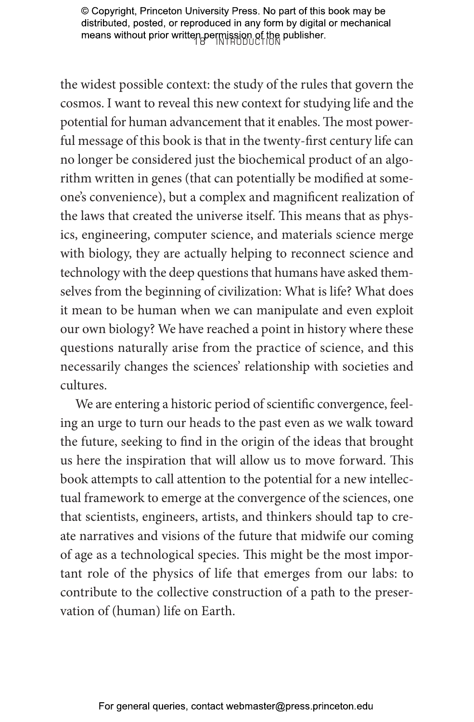the widest possible context: the study of the rules that govern the cosmos. I want to reveal this new context for studying life and the potential for human advancement that it enables. The most powerful message of this book is that in the twenty-first century life can no longer be considered just the biochemical product of an algorithm written in genes (that can potentially be modified at someone's convenience), but a complex and magnificent realization of the laws that created the universe itself. This means that as physics, engineering, computer science, and materials science merge with biology, they are actually helping to reconnect science and technology with the deep questions that humans have asked themselves from the beginning of civilization: What is life? What does it mean to be human when we can manipulate and even exploit our own biology? We have reached a point in history where these questions naturally arise from the practice of science, and this necessarily changes the sciences' relationship with societies and cultures.

We are entering a historic period of scientific convergence, feeling an urge to turn our heads to the past even as we walk toward the future, seeking to find in the origin of the ideas that brought us here the inspiration that will allow us to move forward. This book attempts to call attention to the potential for a new intellectual framework to emerge at the convergence of the sciences, one that scientists, engineers, artists, and thinkers should tap to create narratives and visions of the future that midwife our coming of age as a technological species. This might be the most important role of the physics of life that emerges from our labs: to contribute to the collective construction of a path to the preservation of (human) life on Earth.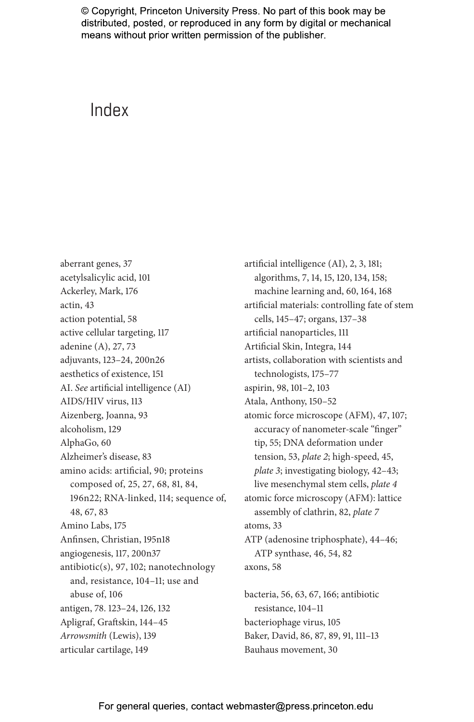## Index

aberrant genes, 37 acetylsalicylic acid, 101 Ackerley, Mark, 176 actin, 43 action potential, 58 active cellular targeting, 117 adenine (A), 27, 73 adjuvants, 123–24, 200n26 aesthetics of existence, 151 AI. *See* artificial intelligence (AI) AIDS/HIV virus, 113 Aizenberg, Joanna, 93 alcoholism, 129 AlphaGo, 60 Alzheimer's disease, 83 amino acids: artificial, 90; proteins composed of, 25, 27, 68, 81, 84, 196n22; RNA-linked, 114; sequence of, 48, 67, 83 Amino Labs, 175 Anfinsen, Christian, 195n18 angiogenesis, 117, 200n37 antibiotic(s), 97, 102; nanotechnology and, resistance, 104–11; use and abuse of, 106 antigen, 78. 123–24, 126, 132 Apligraf, Graftskin, 144–45 *Arrowsmith* (Lewis), 139 articular cartilage, 149

artificial intelligence (AI), 2, 3, 181; algorithms, 7, 14, 15, 120, 134, 158; machine learning and, 60, 164, 168 artificial materials: controlling fate of stem cells, 145–47; organs, 137–38 artificial nanoparticles, 111 Artificial Skin, Integra, 144 artists, collaboration with scientists and technologists, 175–77 aspirin, 98, 101–2, 103 Atala, Anthony, 150–52 atomic force microscope (AFM), 47, 107; accuracy of nanometer-scale "finger" tip, 55; DNA deformation under tension, 53, *plate 2*; high-speed, 45, *plate 3*; investigating biology, 42–43; live mesenchymal stem cells, *plate 4* atomic force microscopy (AFM): lattice assembly of clathrin, 82, *plate 7* atoms, 33 ATP (adenosine triphosphate), 44–46; ATP synthase, 46, 54, 82 axons, 58

bacteria, 56, 63, 67, 166; antibiotic resistance, 104–11 bacteriophage virus, 105 Baker, David, 86, 87, 89, 91, 111–13 Bauhaus movement, 30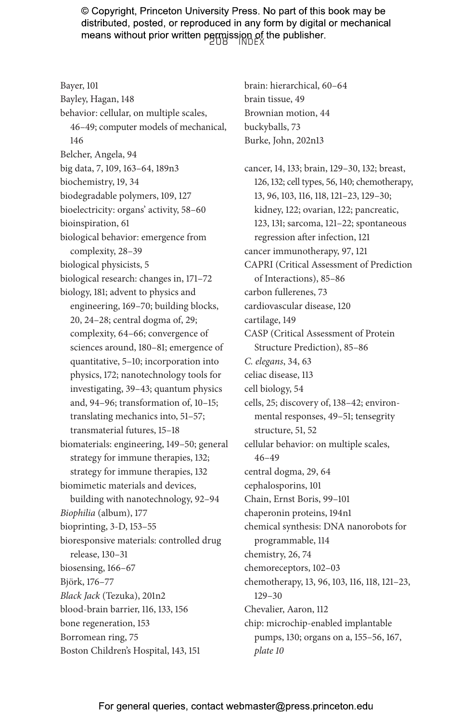Bayer, 101 Bayley, Hagan, 148 behavior: cellular, on multiple scales, 46–49; computer models of mechanical, 146 Belcher, Angela, 94 big data, 7, 109, 163–64, 189n3 biochemistry, 19, 34 biodegradable polymers, 109, 127 bioelectricity: organs' activity, 58–60 bioinspiration, 61 biological behavior: emergence from complexity, 28–39 biological physicists, 5 biological research: changes in, 171–72 biology, 181; advent to physics and engineering, 169–70; building blocks, 20, 24–28; central dogma of, 29; complexity, 64–66; convergence of sciences around, 180–81; emergence of quantitative, 5–10; incorporation into physics, 172; nanotechnology tools for investigating, 39–43; quantum physics and, 94–96; transformation of, 10–15; translating mechanics into, 51–57; transmaterial futures, 15–18 biomaterials: engineering, 149–50; general strategy for immune therapies, 132; strategy for immune therapies, 132 biomimetic materials and devices, building with nanotechnology, 92–94 *Biophilia* (album), 177 bioprinting, 3-D, 153–55 bioresponsive materials: controlled drug release, 130–31 biosensing, 166–67 Björk, 176–77 *Black Jack* (Tezuka), 201n2 blood-brain barrier, 116, 133, 156 bone regeneration, 153 Borromean ring, 75 Boston Children's Hospital, 143, 151

brain: hierarchical, 60–64 brain tissue, 49 Brownian motion, 44 buckyballs, 73 Burke, John, 202n13

cancer, 14, 133; brain, 129–30, 132; breast, 126, 132; cell types, 56, 140; chemotherapy, 13, 96, 103, 116, 118, 121–23, 129–30; kidney, 122; ovarian, 122; pancreatic, 123, 131; sarcoma, 121–22; spontaneous regression after infection, 121 cancer immunotherapy, 97, 121 CAPRI (Critical Assessment of Prediction of Interactions), 85–86 carbon fullerenes, 73 cardiovascular disease, 120 cartilage, 149 CASP (Critical Assessment of Protein Structure Prediction), 85–86 *C. elegans*, 34, 63 celiac disease, 113 cell biology, 54 cells, 25; discovery of, 138–42; environmental responses, 49–51; tensegrity structure, 51, 52 cellular behavior: on multiple scales, 46–49 central dogma, 29, 64 cephalosporins, 101 Chain, Ernst Boris, 99–101 chaperonin proteins, 194n1 chemical synthesis: DNA nanorobots for programmable, 114 chemistry, 26, 74 chemoreceptors, 102–03 chemotherapy, 13, 96, 103, 116, 118, 121–23, 129–30 Chevalier, Aaron, 112 chip: microchip-enabled implantable pumps, 130; organs on a, 155–56, 167, *plate 10*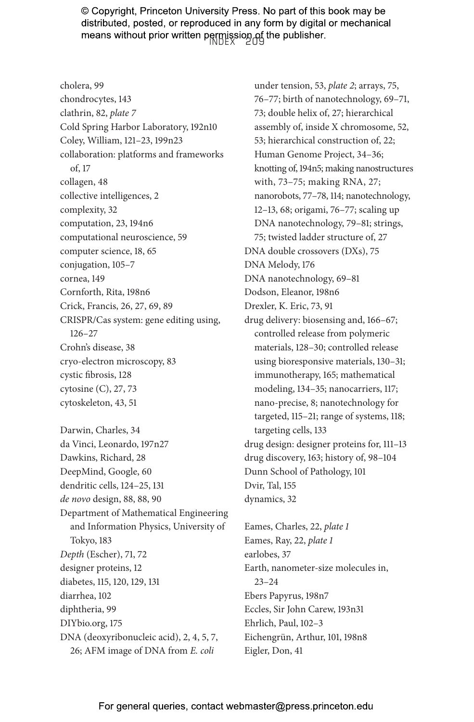cholera, 99 chondrocytes, 143 clathrin, 82, *plate 7* Cold Spring Harbor Laboratory, 192n10 Coley, William, 121–23, 199n23 collaboration: platforms and frameworks of, 17 collagen, 48 collective intelligences, 2 complexity, 32 computation, 23, 194n6 computational neuroscience, 59 computer science, 18, 65 conjugation, 105–7 cornea, 149 Cornforth, Rita, 198n6 Crick, Francis, 26, 27, 69, 89 CRISPR/Cas system: gene editing using, 126–27 Crohn's disease, 38 cryo-electron microscopy, 83 cystic fibrosis, 128 cytosine (C), 27, 73 cytoskeleton, 43, 51 Darwin, Charles, 34

da Vinci, Leonardo, 197n27 Dawkins, Richard, 28 DeepMind, Google, 60 dendritic cells, 124–25, 131 *de novo* design, 88, 88, 90 Department of Mathematical Engineering and Information Physics, University of Tokyo, 183 *Depth* (Escher), 71, 72 designer proteins, 12 diabetes, 115, 120, 129, 131 diarrhea, 102 diphtheria, 99 DIYbio.org, 175 DNA (deoxyribonucleic acid), 2, 4, 5, 7, 26; AFM image of DNA from *E. coli*

under tension, 53, *plate 2*; arrays, 75, 76–77; birth of nanotechnology, 69–71, 73; double helix of, 27; hierarchical assembly of, inside X chromosome, 52, 53; hierarchical construction of, 22; Human Genome Project, 34–36; knotting of, 194n5; making nanostructures with, 73–75; making RNA, 27; nanorobots, 77–78, 114; nanotechnology, 12–13, 68; origami, 76–77; scaling up DNA nanotechnology, 79–81; strings, 75; twisted ladder structure of, 27 DNA double crossovers (DXs), 75 DNA Melody, 176 DNA nanotechnology, 69–81 Dodson, Eleanor, 198n6 Drexler, K. Eric, 73, 91 drug delivery: biosensing and, 166–67; controlled release from polymeric materials, 128–30; controlled release using bioresponsive materials, 130–31; immunotherapy, 165; mathematical modeling, 134–35; nanocarriers, 117; nano-precise, 8; nanotechnology for targeted, 115–21; range of systems, 118; targeting cells, 133 drug design: designer proteins for, 111–13 drug discovery, 163; history of, 98–104 Dunn School of Pathology, 101 Dvir, Tal, 155 dynamics, 32

Eames, Charles, 22, *plate 1* Eames, Ray, 22, *plate 1* earlobes, 37 Earth, nanometer-size molecules in, 23–24 Ebers Papyrus, 198n7 Eccles, Sir John Carew, 193n31 Ehrlich, Paul, 102–3 Eichengrün, Arthur, 101, 198n8 Eigler, Don, 41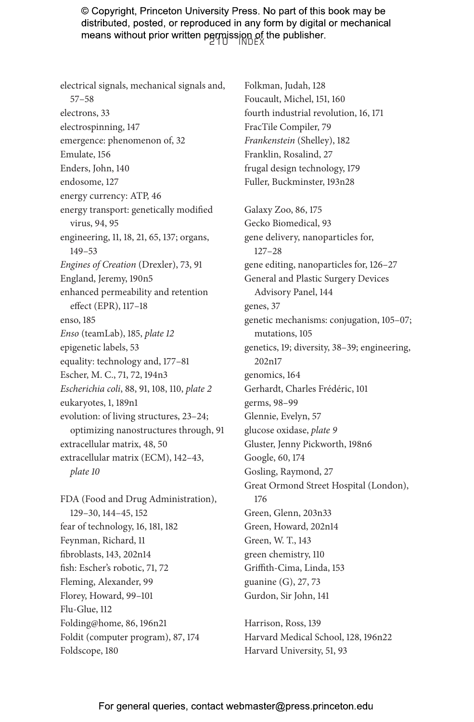electrical signals, mechanical signals and, 57–58 electrons, 33 electrospinning, 147 emergence: phenomenon of, 32 Emulate, 156 Enders, John, 140 endosome, 127 energy currency: ATP, 46 energy transport: genetically modified virus, 94, 95 engineering, 11, 18, 21, 65, 137; organs, 149–53 *Engines of Creation* (Drexler), 73, 91 England, Jeremy, 190n5 enhanced permeability and retention effect (EPR), 117–18 enso, 185 *Enso* (teamLab), 185, *plate 12* epigenetic labels, 53 equality: technology and, 177–81 Escher, M. C., 71, 72, 194n3 *Escherichia coli*, 88, 91, 108, 110, *plate 2* eukaryotes, 1, 189n1 evolution: of living structures, 23–24; optimizing nanostructures through, 91 extracellular matrix, 48, 50 extracellular matrix (ECM), 142–43, *plate 10*

FDA (Food and Drug Administration), 129–30, 144–45, 152 fear of technology, 16, 181, 182 Feynman, Richard, 11 fibroblasts, 143, 202n14 fish: Escher's robotic, 71, 72 Fleming, Alexander, 99 Florey, Howard, 99–101 Flu-Glue, 112 Folding@home, 86, 196n21 Foldit (computer program), 87, 174 Foldscope, 180

Folkman, Judah, 128 Foucault, Michel, 151, 160 fourth industrial revolution, 16, 171 FracTile Compiler, 79 *Frankenstein* (Shelley), 182 Franklin, Rosalind, 27 frugal design technology, 179 Fuller, Buckminster, 193n28 Galaxy Zoo, 86, 175 Gecko Biomedical, 93 gene delivery, nanoparticles for, 127–28 gene editing, nanoparticles for, 126–27 General and Plastic Surgery Devices Advisory Panel, 144 genes, 37 genetic mechanisms: conjugation, 105–07; mutations, 105 genetics, 19; diversity, 38–39; engineering, 202n17 genomics, 164 Gerhardt, Charles Frédéric, 101 germs, 98–99 Glennie, Evelyn, 57 glucose oxidase, *plate 9* Gluster, Jenny Pickworth, 198n6 Google, 60, 174 Gosling, Raymond, 27 Great Ormond Street Hospital (London), 176 Green, Glenn, 203n33 Green, Howard, 202n14 Green, W. T., 143 green chemistry, 110 Griffith-Cima, Linda, 153 guanine (G), 27, 73 Gurdon, Sir John, 141 Harrison, Ross, 139

Harvard Medical School, 128, 196n22 Harvard University, 51, 93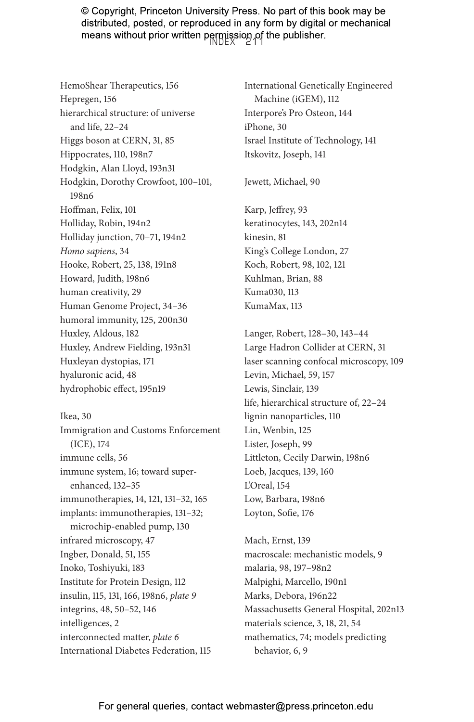HemoShear Therapeutics, 156 Hepregen, 156 hierarchical structure: of universe and life, 22–24 Higgs boson at CERN, 31, 85 Hippocrates, 110, 198n7 Hodgkin, Alan Lloyd, 193n31 Hodgkin, Dorothy Crowfoot, 100–101, 198n6 Hoffman, Felix, 101 Holliday, Robin, 194n2 Holliday junction, 70–71, 194n2 *Homo sapiens*, 34 Hooke, Robert, 25, 138, 191n8 Howard, Judith, 198n6 human creativity, 29 Human Genome Project, 34–36 humoral immunity, 125, 200n30 Huxley, Aldous, 182 Huxley, Andrew Fielding, 193n31 Huxleyan dystopias, 171 hyaluronic acid, 48 hydrophobic effect, 195n19

Ikea, 30 Immigration and Customs Enforcement (ICE), 174 immune cells, 56 immune system, 16; toward superenhanced, 132–35 immunotherapies, 14, 121, 131–32, 165 implants: immunotherapies, 131–32; microchip-enabled pump, 130 infrared microscopy, 47 Ingber, Donald, 51, 155 Inoko, Toshiyuki, 183 Institute for Protein Design, 112 insulin, 115, 131, 166, 198n6, *plate 9* integrins, 48, 50–52, 146 intelligences, 2 interconnected matter, *plate 6* International Diabetes Federation, 115

International Genetically Engineered Machine (iGEM), 112 Interpore's Pro Osteon, 144 iPhone, 30 Israel Institute of Technology, 141 Itskovitz, Joseph, 141

Jewett, Michael, 90

Karp, Jeffrey, 93 keratinocytes, 143, 202n14 kinesin, 81 King's College London, 27 Koch, Robert, 98, 102, 121 Kuhlman, Brian, 88 Kuma030, 113 KumaMax, 113

Langer, Robert, 128–30, 143–44 Large Hadron Collider at CERN, 31 laser scanning confocal microscopy, 109 Levin, Michael, 59, 157 Lewis, Sinclair, 139 life, hierarchical structure of, 22–24 lignin nanoparticles, 110 Lin, Wenbin, 125 Lister, Joseph, 99 Littleton, Cecily Darwin, 198n6 Loeb, Jacques, 139, 160 L'Oreal, 154 Low, Barbara, 198n6 Loyton, Sofie, 176

Mach, Ernst, 139 macroscale: mechanistic models, 9 malaria, 98, 197–98n2 Malpighi, Marcello, 190n1 Marks, Debora, 196n22 Massachusetts General Hospital, 202n13 materials science, 3, 18, 21, 54 mathematics, 74; models predicting behavior, 6, 9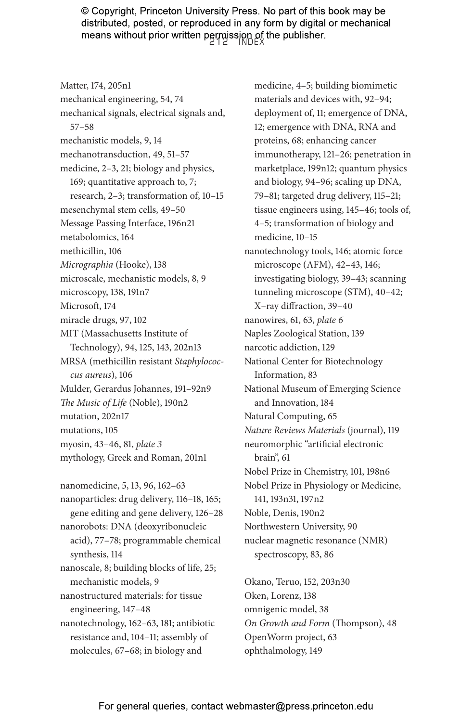Matter, 174, 205n1 mechanical engineering, 54, 74 mechanical signals, electrical signals and, 57–58 mechanistic models, 9, 14 mechanotransduction, 49, 51–57 medicine, 2–3, 21; biology and physics, 169; quantitative approach to, 7; research, 2–3; transformation of, 10–15 mesenchymal stem cells, 49–50 Message Passing Interface, 196n21 metabolomics, 164 methicillin, 106 *Micrographia* (Hooke), 138 microscale, mechanistic models, 8, 9 microscopy, 138, 191n7 Microsoft, 174 miracle drugs, 97, 102 MIT (Massachusetts Institute of Technology), 94, 125, 143, 202n13 MRSA (methicillin resistant *Staphylococcus aureus*), 106 Mulder, Gerardus Johannes, 191–92n9 *The Music of Life* (Noble), 190n2 mutation, 202n17 mutations, 105 myosin, 43–46, 81, *plate 3* mythology, Greek and Roman, 201n1

nanomedicine, 5, 13, 96, 162–63 nanoparticles: drug delivery, 116–18, 165; gene editing and gene delivery, 126–28 nanorobots: DNA (deoxyribonucleic acid), 77–78; programmable chemical synthesis, 114 nanoscale, 8; building blocks of life, 25; mechanistic models, 9 nanostructured materials: for tissue engineering, 147–48 nanotechnology, 162–63, 181; antibiotic resistance and, 104–11; assembly of molecules, 67–68; in biology and

medicine, 4–5; building biomimetic materials and devices with, 92–94; deployment of, 11; emergence of DNA, 12; emergence with DNA, RNA and proteins, 68; enhancing cancer immunotherapy, 121–26; penetration in marketplace, 199n12; quantum physics and biology, 94–96; scaling up DNA, 79–81; targeted drug delivery, 115–21; tissue engineers using, 145–46; tools of, 4–5; transformation of biology and medicine, 10–15 nanotechnology tools, 146; atomic force microscope (AFM), 42–43, 146; investigating biology, 39–43; scanning tunneling microscope (STM), 40–42; X–ray diffraction, 39–40 nanowires, 61, 63, *plate 6* Naples Zoological Station, 139 narcotic addiction, 129 National Center for Biotechnology Information, 83 National Museum of Emerging Science and Innovation, 184 Natural Computing, 65 *Nature Reviews Materials* (journal), 119 neuromorphic "artificial electronic brain", 61 Nobel Prize in Chemistry, 101, 198n6 Nobel Prize in Physiology or Medicine, 141, 193n31, 197n2 Noble, Denis, 190n2 Northwestern University, 90 nuclear magnetic resonance (NMR) spectroscopy, 83, 86

Okano, Teruo, 152, 203n30 Oken, Lorenz, 138 omnigenic model, 38 *On Growth and Form* (Thompson), 48 OpenWorm project, 63 ophthalmology, 149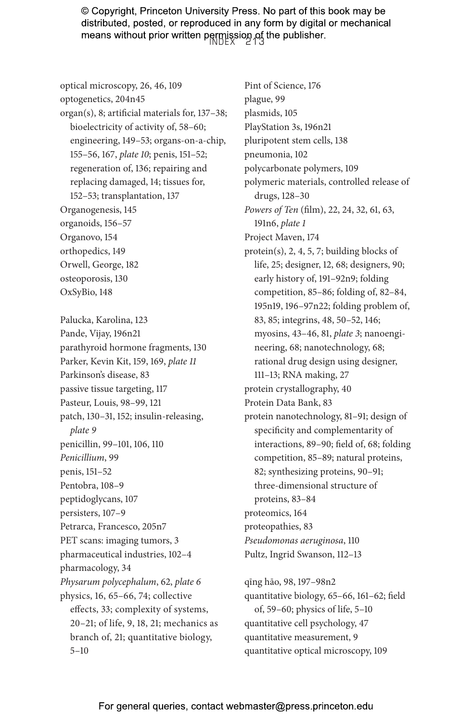optical microscopy, 26, 46, 109 optogenetics, 204n45 organ(s), 8; artificial materials for, 137–38; bioelectricity of activity of, 58–60; engineering, 149–53; organs-on-a-chip, 155–56, 167, *plate 10*; penis, 151–52; regeneration of, 136; repairing and replacing damaged, 14; tissues for, 152–53; transplantation, 137 Organogenesis, 145 organoids, 156–57 Organovo, 154 orthopedics, 149 Orwell, George, 182 osteoporosis, 130 OxSyBio, 148

Palucka, Karolina, 123 Pande, Vijay, 196n21 parathyroid hormone fragments, 130 Parker, Kevin Kit, 159, 169, *plate 11* Parkinson's disease, 83 passive tissue targeting, 117 Pasteur, Louis, 98–99, 121 patch, 130–31, 152; insulin-releasing, *plate 9* penicillin, 99–101, 106, 110 *Penicillium*, 99 penis, 151–52 Pentobra, 108–9 peptidoglycans, 107 persisters, 107–9 Petrarca, Francesco, 205n7 PET scans: imaging tumors, 3 pharmaceutical industries, 102–4 pharmacology, 34 *Physarum polycephalum*, 62, *plate 6* physics, 16, 65–66, 74; collective effects, 33; complexity of systems, 20–21; of life, 9, 18, 21; mechanics as branch of, 21; quantitative biology, 5–10

Pint of Science, 176 plague, 99 plasmids, 105 PlayStation 3s, 196n21 pluripotent stem cells, 138 pneumonia, 102 polycarbonate polymers, 109 polymeric materials, controlled release of drugs, 128–30 *Powers of Ten* (film), 22, 24, 32, 61, 63, 191n6, *plate 1* Project Maven, 174 protein(s), 2, 4, 5, 7; building blocks of life, 25; designer, 12, 68; designers, 90; early history of, 191–92n9; folding competition, 85–86; folding of, 82–84, 195n19, 196–97n22; folding problem of, 83, 85; integrins, 48, 50–52, 146; myosins, 43–46, 81, *plate 3*; nanoengineering, 68; nanotechnology, 68; rational drug design using designer, 111–13; RNA making, 27 protein crystallography, 40 Protein Data Bank, 83 protein nanotechnology, 81–91; design of specificity and complementarity of interactions, 89–90; field of, 68; folding competition, 85–89; natural proteins, 82; synthesizing proteins, 90–91; three-dimensional structure of proteins, 83–84 proteomics, 164 proteopathies, 83 *Pseudomonas aeruginosa*, 110 Pultz, Ingrid Swanson, 112–13

qīng hāo, 98, 197–98n2 quantitative biology, 65–66, 161–62; field of, 59–60; physics of life, 5–10 quantitative cell psychology, 47 quantitative measurement, 9 quantitative optical microscopy, 109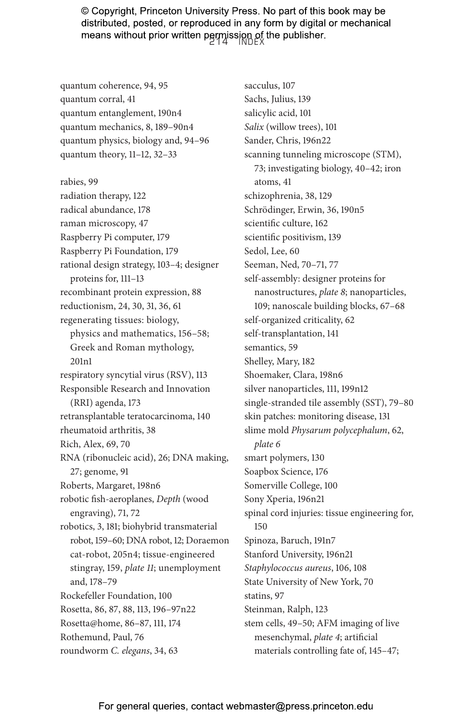quantum coherence, 94, 95 quantum corral, 41 quantum entanglement, 190n4 quantum mechanics, 8, 189–90n4 quantum physics, biology and, 94–96 quantum theory, 11–12, 32–33

rabies, 99 radiation therapy, 122 radical abundance, 178 raman microscopy, 47 Raspberry Pi computer, 179 Raspberry Pi Foundation, 179 rational design strategy, 103–4; designer proteins for, 111–13 recombinant protein expression, 88 reductionism, 24, 30, 31, 36, 61 regenerating tissues: biology, physics and mathematics, 156–58; Greek and Roman mythology, 201n1 respiratory syncytial virus (RSV), 113 Responsible Research and Innovation (RRI) agenda, 173 retransplantable teratocarcinoma, 140 rheumatoid arthritis, 38 Rich, Alex, 69, 70 RNA (ribonucleic acid), 26; DNA making, 27; genome, 91 Roberts, Margaret, 198n6 robotic fish-aeroplanes, *Depth* (wood engraving), 71, 72 robotics, 3, 181; biohybrid transmaterial robot, 159–60; DNA robot, 12; Doraemon cat-robot, 205n4; tissue-engineered stingray, 159, *plate 11*; unemployment and, 178–79 Rockefeller Foundation, 100 Rosetta, 86, 87, 88, 113, 196–97n22 Rosetta@home, 86–87, 111, 174 Rothemund, Paul, 76 roundworm *C. elegans*, 34, 63

sacculus, 107 Sachs, Julius, 139 salicylic acid, 101 *Salix* (willow trees), 101 Sander, Chris, 196n22 scanning tunneling microscope (STM), 73; investigating biology, 40–42; iron atoms, 41 schizophrenia, 38, 129 Schrödinger, Erwin, 36, 190n5 scientific culture, 162 scientific positivism, 139 Sedol, Lee, 60 Seeman, Ned, 70–71, 77 self-assembly: designer proteins for nanostructures, *plate 8*; nanoparticles, 109; nanoscale building blocks, 67–68 self-organized criticality, 62 self-transplantation, 141 semantics, 59 Shelley, Mary, 182 Shoemaker, Clara, 198n6 silver nanoparticles, 111, 199n12 single-stranded tile assembly (SST), 79–80 skin patches: monitoring disease, 131 slime mold *Physarum polycephalum*, 62, *plate 6* smart polymers, 130 Soapbox Science, 176 Somerville College, 100 Sony Xperia, 196n21 spinal cord injuries: tissue engineering for, 150 Spinoza, Baruch, 191n7 Stanford University, 196n21 *Staphylococcus aureus*, 106, 108 State University of New York, 70 statins, 97 Steinman, Ralph, 123 stem cells, 49–50; AFM imaging of live mesenchymal, *plate 4*; artificial materials controlling fate of, 145–47;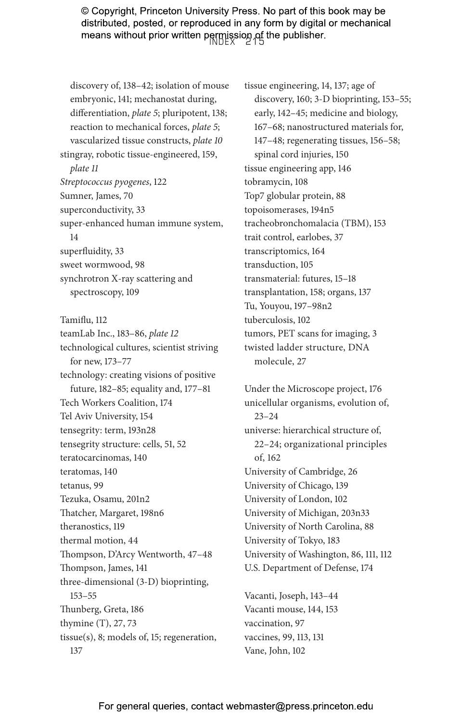discovery of, 138–42; isolation of mouse embryonic, 141; mechanostat during, differentiation, *plate 5*; pluripotent, 138; reaction to mechanical forces, *plate 5*; vascularized tissue constructs, *plate 10* stingray, robotic tissue-engineered, 159, *plate 11 Streptococcus pyogenes*, 122 Sumner, James, 70 superconductivity, 33 super-enhanced human immune system, 14 superfluidity, 33 sweet wormwood, 98 synchrotron X-ray scattering and spectroscopy, 109

Tamiflu, 112 teamLab Inc., 183–86, *plate 12* technological cultures, scientist striving for new, 173–77 technology: creating visions of positive future, 182–85; equality and, 177–81 Tech Workers Coalition, 174 Tel Aviv University, 154 tensegrity: term, 193n28 tensegrity structure: cells, 51, 52 teratocarcinomas, 140 teratomas, 140 tetanus, 99 Tezuka, Osamu, 201n2 Thatcher, Margaret, 198n6 theranostics, 119 thermal motion, 44 Thompson, D'Arcy Wentworth, 47–48 Thompson, James, 141 three-dimensional (3-D) bioprinting, 153–55 Thunberg, Greta, 186 thymine (T), 27, 73 tissue(s), 8; models of, 15; regeneration, 137

tissue engineering, 14, 137; age of discovery, 160; 3-D bioprinting, 153–55; early, 142–45; medicine and biology, 167–68; nanostructured materials for, 147–48; regenerating tissues, 156–58; spinal cord injuries, 150 tissue engineering app, 146 tobramycin, 108 Top7 globular protein, 88 topoisomerases, 194n5 tracheobronchomalacia (TBM), 153 trait control, earlobes, 37 transcriptomics, 164 transduction, 105 transmaterial: futures, 15–18 transplantation, 158; organs, 137 Tu, Youyou, 197–98n2 tuberculosis, 102 tumors, PET scans for imaging, 3 twisted ladder structure, DNA molecule, 27

Under the Microscope project, 176 unicellular organisms, evolution of, 23–24 universe: hierarchical structure of, 22–24; organizational principles of, 162 University of Cambridge, 26 University of Chicago, 139 University of London, 102 University of Michigan, 203n33 University of North Carolina, 88 University of Tokyo, 183 University of Washington, 86, 111, 112 U.S. Department of Defense, 174

Vacanti, Joseph, 143–44 Vacanti mouse, 144, 153 vaccination, 97 vaccines, 99, 113, 131 Vane, John, 102